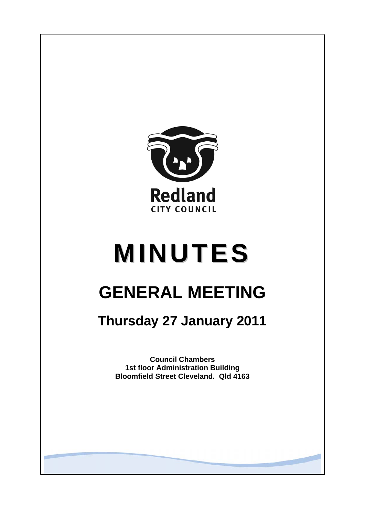

# **MINUTES**

# **GENERAL MEETING**

## **Thursday 27 January 2011**

**Council Chambers 1st floor Administration Building Bloomfield Street Cleveland. Qld 4163**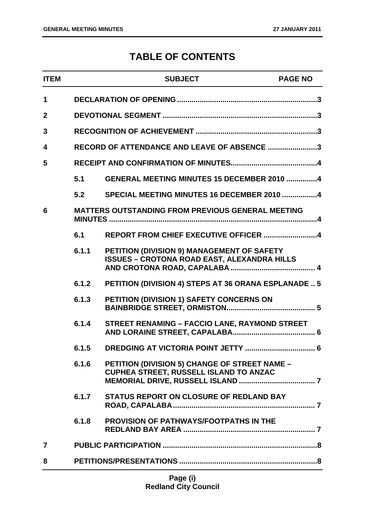### **TABLE OF CONTENTS**

| <b>ITEM</b>  |       | <b>SUBJECT</b>                                                                                   | <b>PAGE NO</b> |
|--------------|-------|--------------------------------------------------------------------------------------------------|----------------|
| $\mathbf 1$  |       |                                                                                                  |                |
| $\mathbf{2}$ |       |                                                                                                  |                |
| 3            |       |                                                                                                  |                |
| 4            |       | RECORD OF ATTENDANCE AND LEAVE OF ABSENCE 3                                                      |                |
| 5            |       |                                                                                                  |                |
|              | 5.1   | GENERAL MEETING MINUTES 15 DECEMBER 2010 4                                                       |                |
|              | 5.2   | SPECIAL MEETING MINUTES 16 DECEMBER 2010 4                                                       |                |
| 6            |       | <b>MATTERS OUTSTANDING FROM PREVIOUS GENERAL MEETING</b>                                         |                |
|              | 6.1   | REPORT FROM CHIEF EXECUTIVE OFFICER 4                                                            |                |
|              | 6.1.1 | PETITION (DIVISION 9) MANAGEMENT OF SAFETY<br><b>ISSUES - CROTONA ROAD EAST, ALEXANDRA HILLS</b> |                |
|              | 6.1.2 | PETITION (DIVISION 4) STEPS AT 36 ORANA ESPLANADE  5                                             |                |
|              | 6.1.3 | PETITION (DIVISION 1) SAFETY CONCERNS ON                                                         |                |
|              | 6.1.4 | <b>STREET RENAMING - FACCIO LANE, RAYMOND STREET</b>                                             |                |
|              | 6.1.5 | DREDGING AT VICTORIA POINT JETTY                                                                 | 6              |
|              | 6.1.6 | PETITION (DIVISION 5) CHANGE OF STREET NAME -<br>CUPHEA STREET, RUSSELL ISLAND TO ANZAC          |                |
|              | 6.1.7 | <b>STATUS REPORT ON CLOSURE OF REDLAND BAY</b>                                                   |                |
|              | 6.1.8 | PROVISION OF PATHWAYS/FOOTPATHS IN THE                                                           |                |
| 7            |       |                                                                                                  |                |
| 8            |       |                                                                                                  |                |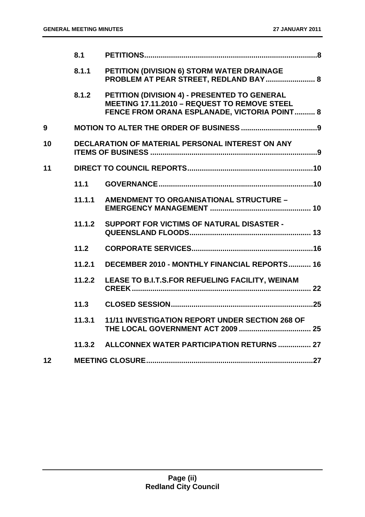|                 | 8.1    |                                                                                                                                              |  |
|-----------------|--------|----------------------------------------------------------------------------------------------------------------------------------------------|--|
|                 | 8.1.1  | PETITION (DIVISION 6) STORM WATER DRAINAGE<br>PROBLEM AT PEAR STREET, REDLAND BAY  8                                                         |  |
|                 | 8.1.2  | PETITION (DIVISION 4) - PRESENTED TO GENERAL<br>MEETING 17.11.2010 - REQUEST TO REMOVE STEEL<br>FENCE FROM ORANA ESPLANADE, VICTORIA POINT 8 |  |
| 9               |        |                                                                                                                                              |  |
| 10              |        | DECLARATION OF MATERIAL PERSONAL INTEREST ON ANY                                                                                             |  |
| 11              |        |                                                                                                                                              |  |
|                 | 11.1   |                                                                                                                                              |  |
|                 | 11.1.1 | AMENDMENT TO ORGANISATIONAL STRUCTURE -                                                                                                      |  |
|                 | 11.1.2 | <b>SUPPORT FOR VICTIMS OF NATURAL DISASTER -</b>                                                                                             |  |
|                 | $11.2$ |                                                                                                                                              |  |
|                 | 11.2.1 | DECEMBER 2010 - MONTHLY FINANCIAL REPORTS 16                                                                                                 |  |
|                 | 11.2.2 | LEASE TO B.I.T.S.FOR REFUELING FACILITY, WEINAM                                                                                              |  |
|                 | 11.3   |                                                                                                                                              |  |
|                 | 11.3.1 | 11/11 INVESTIGATION REPORT UNDER SECTION 268 OF                                                                                              |  |
|                 | 11.3.2 | ALLCONNEX WATER PARTICIPATION RETURNS  27                                                                                                    |  |
| 12 <sub>2</sub> |        |                                                                                                                                              |  |
|                 |        |                                                                                                                                              |  |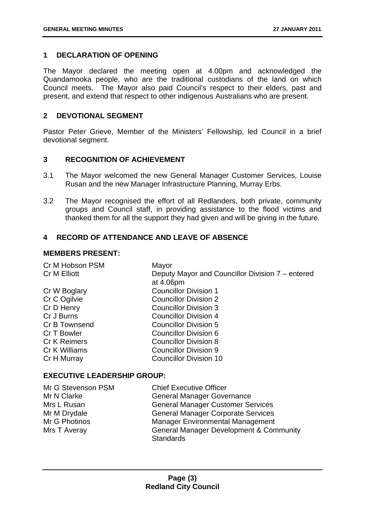#### <span id="page-3-0"></span>**1 DECLARATION OF OPENING**

The Mayor declared the meeting open at 4.00pm and acknowledged the Quandamooka people, who are the traditional custodians of the land on which Council meets. The Mayor also paid Council's respect to their elders, past and present, and extend that respect to other indigenous Australians who are present.

#### **2 DEVOTIONAL SEGMENT**

Pastor Peter Grieve, Member of the Ministers' Fellowship, led Council in a brief devotional segment.

#### **3 RECOGNITION OF ACHIEVEMENT**

- 3.1 The Mayor welcomed the new General Manager Customer Services, Louise Rusan and the new Manager Infrastructure Planning, Murray Erbs.
- 3.2 The Mayor recognised the effort of all Redlanders, both private, community groups and Council staff, in providing assistance to the flood victims and thanked them for all the support they had given and will be giving in the future.

#### **4 RECORD OF ATTENDANCE AND LEAVE OF ABSENCE**

#### **MEMBERS PRESENT:**

| Mayor                                            |
|--------------------------------------------------|
| Deputy Mayor and Councillor Division 7 – entered |
| at 4.06pm                                        |
| <b>Councillor Division 1</b>                     |
| <b>Councillor Division 2</b>                     |
| <b>Councillor Division 3</b>                     |
| Councillor Division 4                            |
| <b>Councillor Division 5</b>                     |
| <b>Councillor Division 6</b>                     |
| <b>Councillor Division 8</b>                     |
| <b>Councillor Division 9</b>                     |
| <b>Councillor Division 10</b>                    |
|                                                  |

#### **EXECUTIVE LEADERSHIP GROUP:**

| Mr G Stevenson PSM | <b>Chief Executive Officer</b>                     |
|--------------------|----------------------------------------------------|
| Mr N Clarke        | <b>General Manager Governance</b>                  |
| Mrs L Rusan        | <b>General Manager Customer Services</b>           |
| Mr M Drydale       | <b>General Manager Corporate Services</b>          |
| Mr G Photinos      | <b>Manager Environmental Management</b>            |
| Mrs T Averay       | <b>General Manager Development &amp; Community</b> |
|                    | <b>Standards</b>                                   |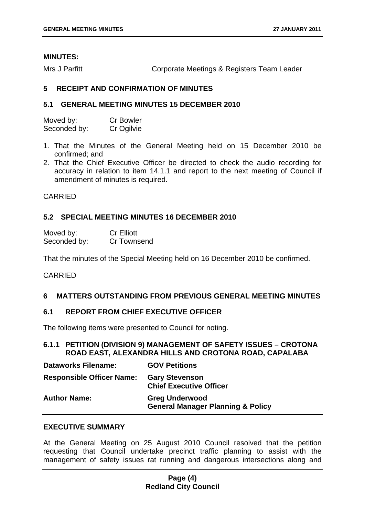#### <span id="page-4-0"></span>**MINUTES:**

Mrs J Parfitt **Corporate Meetings & Registers Team Leader** 

#### **5 RECEIPT AND CONFIRMATION OF MINUTES**

#### **5.1 GENERAL MEETING MINUTES 15 DECEMBER 2010**

| Moved by:    | <b>Cr Bowler</b> |
|--------------|------------------|
| Seconded by: | Cr Ogilvie       |

- 1. That the Minutes of the General Meeting held on 15 December 2010 be confirmed; and
- 2. That the Chief Executive Officer be directed to check the audio recording for accuracy in relation to item 14.1.1 and report to the next meeting of Council if amendment of minutes is required.

#### CARRIED

#### **5.2 SPECIAL MEETING MINUTES 16 DECEMBER 2010**

| Moved by:    | <b>Cr Elliott</b> |
|--------------|-------------------|
| Seconded by: | Cr Townsend       |

That the minutes of the Special Meeting held on 16 December 2010 be confirmed.

#### CARRIED

#### **6 MATTERS OUTSTANDING FROM PREVIOUS GENERAL MEETING MINUTES**

#### **6.1 REPORT FROM CHIEF EXECUTIVE OFFICER**

The following items were presented to Council for noting.

#### **6.1.1 PETITION (DIVISION 9) MANAGEMENT OF SAFETY ISSUES – CROTONA ROAD EAST, ALEXANDRA HILLS AND CROTONA ROAD, CAPALABA**

| <b>Dataworks Filename:</b>       | <b>GOV Petitions</b>                                                  |
|----------------------------------|-----------------------------------------------------------------------|
| <b>Responsible Officer Name:</b> | <b>Gary Stevenson</b><br><b>Chief Executive Officer</b>               |
| <b>Author Name:</b>              | <b>Greg Underwood</b><br><b>General Manager Planning &amp; Policy</b> |

#### **EXECUTIVE SUMMARY**

At the General Meeting on 25 August 2010 Council resolved that the petition requesting that Council undertake precinct traffic planning to assist with the management of safety issues rat running and dangerous intersections along and

#### **Page (4) Redland City Council**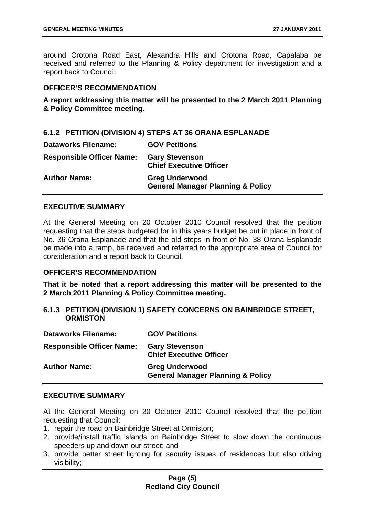<span id="page-5-0"></span>around Crotona Road East, Alexandra Hills and Crotona Road, Capalaba be received and referred to the Planning & Policy department for investigation and a report back to Council.

#### **OFFICER'S RECOMMENDATION**

**A report addressing this matter will be presented to the 2 March 2011 Planning & Policy Committee meeting.** 

|  |  |  | 6.1.2 PETITION (DIVISION 4) STEPS AT 36 ORANA ESPLANADE |  |  |
|--|--|--|---------------------------------------------------------|--|--|
|--|--|--|---------------------------------------------------------|--|--|

| <b>Dataworks Filename:</b>       | <b>GOV Petitions</b>                                                  |
|----------------------------------|-----------------------------------------------------------------------|
| <b>Responsible Officer Name:</b> | <b>Gary Stevenson</b><br><b>Chief Executive Officer</b>               |
| <b>Author Name:</b>              | <b>Greg Underwood</b><br><b>General Manager Planning &amp; Policy</b> |

#### **EXECUTIVE SUMMARY**

At the General Meeting on 20 October 2010 Council resolved that the petition requesting that the steps budgeted for in this years budget be put in place in front of No. 36 Orana Esplanade and that the old steps in front of No. 38 Orana Esplanade be made into a ramp, be received and referred to the appropriate area of Council for consideration and a report back to Council.

#### **OFFICER'S RECOMMENDATION**

**That it be noted that a report addressing this matter will be presented to the 2 March 2011 Planning & Policy Committee meeting.** 

**6.1.3 PETITION (DIVISION 1) SAFETY CONCERNS ON BAINBRIDGE STREET, ORMISTON** 

| <b>Dataworks Filename:</b>       | <b>GOV Petitions</b>                                                  |
|----------------------------------|-----------------------------------------------------------------------|
| <b>Responsible Officer Name:</b> | <b>Gary Stevenson</b><br><b>Chief Executive Officer</b>               |
| <b>Author Name:</b>              | <b>Greg Underwood</b><br><b>General Manager Planning &amp; Policy</b> |

#### **EXECUTIVE SUMMARY**

At the General Meeting on 20 October 2010 Council resolved that the petition requesting that Council:

- 1. repair the road on Bainbridge Street at Ormiston;
- 2. provide/install traffic islands on Bainbridge Street to slow down the continuous speeders up and down our street; and
- 3. provide better street lighting for security issues of residences but also driving visibility;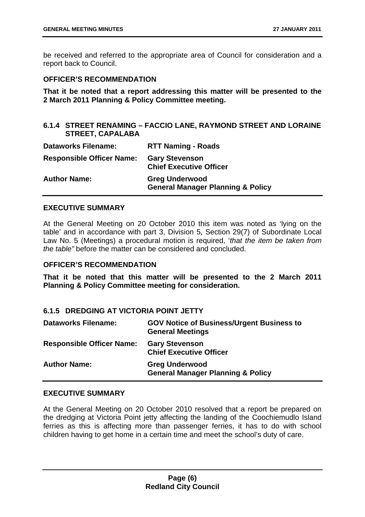<span id="page-6-0"></span>be received and referred to the appropriate area of Council for consideration and a report back to Council.

#### **OFFICER'S RECOMMENDATION**

**That it be noted that a report addressing this matter will be presented to the 2 March 2011 Planning & Policy Committee meeting.** 

#### **6.1.4 STREET RENAMING – FACCIO LANE, RAYMOND STREET AND LORAINE STREET, CAPALABA**

| <b>Dataworks Filename:</b>       | <b>RTT Naming - Roads</b>                                             |
|----------------------------------|-----------------------------------------------------------------------|
| <b>Responsible Officer Name:</b> | <b>Gary Stevenson</b><br><b>Chief Executive Officer</b>               |
| <b>Author Name:</b>              | <b>Greg Underwood</b><br><b>General Manager Planning &amp; Policy</b> |

#### **EXECUTIVE SUMMARY**

At the General Meeting on 20 October 2010 this item was noted as 'lying on the table' and in accordance with part 3, Division 5, Section 29(7) of Subordinate Local Law No. 5 (Meetings) a procedural motion is required, '*that the item be taken from the table"* before the matter can be considered and concluded.

#### **OFFICER'S RECOMMENDATION**

**That it be noted that this matter will be presented to the 2 March 2011 Planning & Policy Committee meeting for consideration.** 

#### **6.1.5 DREDGING AT VICTORIA POINT JETTY**

| <b>Dataworks Filename:</b>       | <b>GOV Notice of Business/Urgent Business to</b><br><b>General Meetings</b> |
|----------------------------------|-----------------------------------------------------------------------------|
| <b>Responsible Officer Name:</b> | <b>Gary Stevenson</b><br><b>Chief Executive Officer</b>                     |
| <b>Author Name:</b>              | <b>Greg Underwood</b><br><b>General Manager Planning &amp; Policy</b>       |

#### **EXECUTIVE SUMMARY**

At the General Meeting on 20 October 2010 resolved that a report be prepared on the dredging at Victoria Point jetty affecting the landing of the Coochiemudlo Island ferries as this is affecting more than passenger ferries, it has to do with school children having to get home in a certain time and meet the school's duty of care.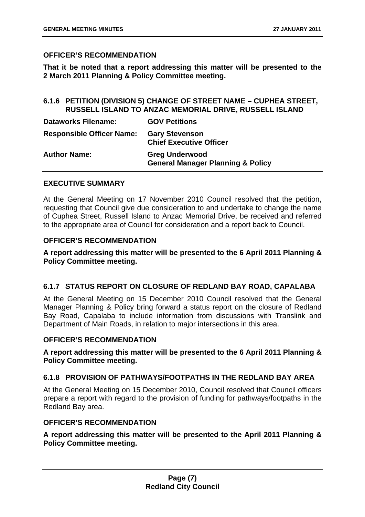#### <span id="page-7-0"></span>**OFFICER'S RECOMMENDATION**

**That it be noted that a report addressing this matter will be presented to the 2 March 2011 Planning & Policy Committee meeting.** 

#### **6.1.6 PETITION (DIVISION 5) CHANGE OF STREET NAME – CUPHEA STREET, RUSSELL ISLAND TO ANZAC MEMORIAL DRIVE, RUSSELL ISLAND**

| <b>Dataworks Filename:</b>       | <b>GOV Petitions</b>                                                  |
|----------------------------------|-----------------------------------------------------------------------|
| <b>Responsible Officer Name:</b> | <b>Gary Stevenson</b><br><b>Chief Executive Officer</b>               |
| <b>Author Name:</b>              | <b>Greg Underwood</b><br><b>General Manager Planning &amp; Policy</b> |

#### **EXECUTIVE SUMMARY**

At the General Meeting on 17 November 2010 Council resolved that the petition, requesting that Council give due consideration to and undertake to change the name of Cuphea Street, Russell Island to Anzac Memorial Drive, be received and referred to the appropriate area of Council for consideration and a report back to Council.

#### **OFFICER'S RECOMMENDATION**

#### **A report addressing this matter will be presented to the 6 April 2011 Planning & Policy Committee meeting.**

#### **6.1.7 STATUS REPORT ON CLOSURE OF REDLAND BAY ROAD, CAPALABA**

At the General Meeting on 15 December 2010 Council resolved that the General Manager Planning & Policy bring forward a status report on the closure of Redland Bay Road, Capalaba to include information from discussions with Translink and Department of Main Roads, in relation to major intersections in this area.

#### **OFFICER'S RECOMMENDATION**

#### **A report addressing this matter will be presented to the 6 April 2011 Planning & Policy Committee meeting.**

#### **6.1.8 PROVISION OF PATHWAYS/FOOTPATHS IN THE REDLAND BAY AREA**

At the General Meeting on 15 December 2010, Council resolved that Council officers prepare a report with regard to the provision of funding for pathways/footpaths in the Redland Bay area.

#### **OFFICER'S RECOMMENDATION**

**A report addressing this matter will be presented to the April 2011 Planning & Policy Committee meeting.**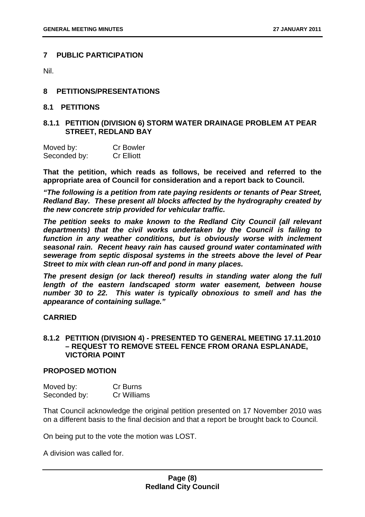#### <span id="page-8-0"></span>**7 PUBLIC PARTICIPATION**

Nil.

#### **8 PETITIONS/PRESENTATIONS**

#### **8.1 PETITIONS**

#### **8.1.1 PETITION (DIVISION 6) STORM WATER DRAINAGE PROBLEM AT PEAR STREET, REDLAND BAY**

| Moved by:    | <b>Cr Bowler</b>  |
|--------------|-------------------|
| Seconded by: | <b>Cr Elliott</b> |

**That the petition, which reads as follows, be received and referred to the appropriate area of Council for consideration and a report back to Council.** 

*"The following is a petition from rate paying residents or tenants of Pear Street, Redland Bay. These present all blocks affected by the hydrography created by the new concrete strip provided for vehicular traffic.* 

*The petition seeks to make known to the Redland City Council (all relevant departments) that the civil works undertaken by the Council is failing to*  function in any weather conditions, but is obviously worse with inclement *seasonal rain. Recent heavy rain has caused ground water contaminated with sewerage from septic disposal systems in the streets above the level of Pear Street to mix with clean run-off and pond in many places.* 

*The present design (or lack thereof) results in standing water along the full length of the eastern landscaped storm water easement, between house number 30 to 22. This water is typically obnoxious to smell and has the appearance of containing sullage."* 

#### **CARRIED**

#### **8.1.2 PETITION (DIVISION 4) - PRESENTED TO GENERAL MEETING 17.11.2010 – REQUEST TO REMOVE STEEL FENCE FROM ORANA ESPLANADE, VICTORIA POINT**

#### **PROPOSED MOTION**

| Moved by:    | Cr Burns    |
|--------------|-------------|
| Seconded by: | Cr Williams |

That Council acknowledge the original petition presented on 17 November 2010 was on a different basis to the final decision and that a report be brought back to Council.

On being put to the vote the motion was LOST.

A division was called for.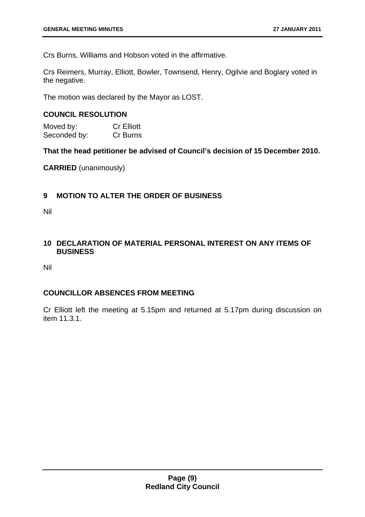<span id="page-9-0"></span>Crs Burns, Williams and Hobson voted in the affirmative.

Crs Reimers, Murray, Elliott, Bowler, Townsend, Henry, Ogilvie and Boglary voted in the negative.

The motion was declared by the Mayor as LOST.

#### **COUNCIL RESOLUTION**

Moved by: Cr Elliott Seconded by: Cr Burns

**That the head petitioner be advised of Council's decision of 15 December 2010.** 

**CARRIED** (unanimously)

#### **9 MOTION TO ALTER THE ORDER OF BUSINESS**

Nil

#### **10 DECLARATION OF MATERIAL PERSONAL INTEREST ON ANY ITEMS OF BUSINESS**

Nil

#### **COUNCILLOR ABSENCES FROM MEETING**

Cr Elliott left the meeting at 5.15pm and returned at 5.17pm during discussion on item 11.3.1.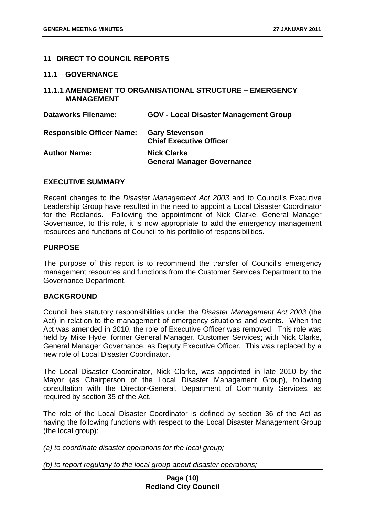#### <span id="page-10-0"></span>**11 DIRECT TO COUNCIL REPORTS**

#### **11.1 GOVERNANCE**

#### **11.1.1 AMENDMENT TO ORGANISATIONAL STRUCTURE – EMERGENCY MANAGEMENT**

| <b>Dataworks Filename:</b>       | <b>GOV - Local Disaster Management Group</b>            |
|----------------------------------|---------------------------------------------------------|
| <b>Responsible Officer Name:</b> | <b>Gary Stevenson</b><br><b>Chief Executive Officer</b> |
| <b>Author Name:</b>              | <b>Nick Clarke</b><br><b>General Manager Governance</b> |

#### **EXECUTIVE SUMMARY**

Recent changes to the *Disaster Management Act 2003* and to Council's Executive Leadership Group have resulted in the need to appoint a Local Disaster Coordinator for the Redlands. Following the appointment of Nick Clarke, General Manager Governance, to this role, it is now appropriate to add the emergency management resources and functions of Council to his portfolio of responsibilities.

#### **PURPOSE**

The purpose of this report is to recommend the transfer of Council's emergency management resources and functions from the Customer Services Department to the Governance Department.

#### **BACKGROUND**

Council has statutory responsibilities under the *Disaster Management Act 2003* (the Act) in relation to the management of emergency situations and events. When the Act was amended in 2010, the role of Executive Officer was removed. This role was held by Mike Hyde, former General Manager, Customer Services; with Nick Clarke, General Manager Governance, as Deputy Executive Officer. This was replaced by a new role of Local Disaster Coordinator.

The Local Disaster Coordinator, Nick Clarke, was appointed in late 2010 by the Mayor (as Chairperson of the Local Disaster Management Group), following consultation with the Director-General, Department of Community Services, as required by section 35 of the Act.

The role of the Local Disaster Coordinator is defined by section 36 of the Act as having the following functions with respect to the Local Disaster Management Group (the local group):

*(a) to coordinate disaster operations for the local group;* 

*(b) to report regularly to the local group about disaster operations;*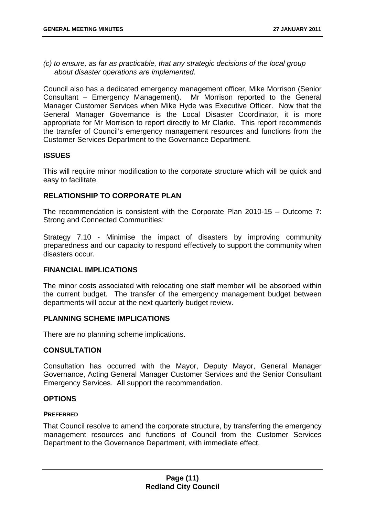*(c) to ensure, as far as practicable, that any strategic decisions of the local group about disaster operations are implemented.* 

Council also has a dedicated emergency management officer, Mike Morrison (Senior Consultant – Emergency Management). Mr Morrison reported to the General Manager Customer Services when Mike Hyde was Executive Officer. Now that the General Manager Governance is the Local Disaster Coordinator, it is more appropriate for Mr Morrison to report directly to Mr Clarke. This report recommends the transfer of Council's emergency management resources and functions from the Customer Services Department to the Governance Department.

#### **ISSUES**

This will require minor modification to the corporate structure which will be quick and easy to facilitate.

#### **RELATIONSHIP TO CORPORATE PLAN**

The recommendation is consistent with the Corporate Plan 2010-15 – Outcome 7: Strong and Connected Communities:

Strategy 7.10 - Minimise the impact of disasters by improving community preparedness and our capacity to respond effectively to support the community when disasters occur.

#### **FINANCIAL IMPLICATIONS**

The minor costs associated with relocating one staff member will be absorbed within the current budget. The transfer of the emergency management budget between departments will occur at the next quarterly budget review.

#### **PLANNING SCHEME IMPLICATIONS**

There are no planning scheme implications.

#### **CONSULTATION**

Consultation has occurred with the Mayor, Deputy Mayor, General Manager Governance, Acting General Manager Customer Services and the Senior Consultant Emergency Services. All support the recommendation.

#### **OPTIONS**

#### **PREFERRED**

That Council resolve to amend the corporate structure, by transferring the emergency management resources and functions of Council from the Customer Services Department to the Governance Department, with immediate effect.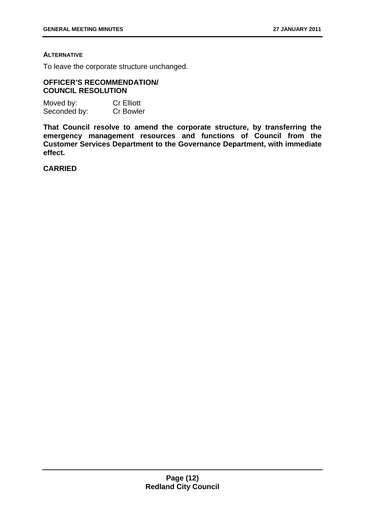#### **ALTERNATIVE**

To leave the corporate structure unchanged.

#### **OFFICER'S RECOMMENDATION/ COUNCIL RESOLUTION**

| Moved by:    | <b>Cr Elliott</b> |
|--------------|-------------------|
| Seconded by: | <b>Cr Bowler</b>  |

**That Council resolve to amend the corporate structure, by transferring the emergency management resources and functions of Council from the Customer Services Department to the Governance Department, with immediate effect.** 

**CARRIED**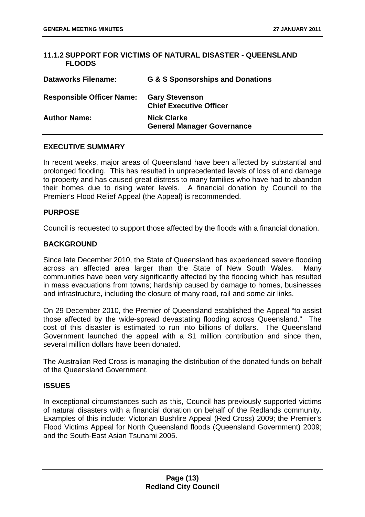#### <span id="page-13-0"></span>**11.1.2 SUPPORT FOR VICTIMS OF NATURAL DISASTER - QUEENSLAND FLOODS**

| <b>Dataworks Filename:</b>       | <b>G &amp; S Sponsorships and Donations</b>             |
|----------------------------------|---------------------------------------------------------|
| <b>Responsible Officer Name:</b> | <b>Gary Stevenson</b><br><b>Chief Executive Officer</b> |
| <b>Author Name:</b>              | <b>Nick Clarke</b><br><b>General Manager Governance</b> |

#### **EXECUTIVE SUMMARY**

In recent weeks, major areas of Queensland have been affected by substantial and prolonged flooding. This has resulted in unprecedented levels of loss of and damage to property and has caused great distress to many families who have had to abandon their homes due to rising water levels. A financial donation by Council to the Premier's Flood Relief Appeal (the Appeal) is recommended.

#### **PURPOSE**

Council is requested to support those affected by the floods with a financial donation.

#### **BACKGROUND**

Since late December 2010, the State of Queensland has experienced severe flooding across an affected area larger than the State of New South Wales. Many communities have been very significantly affected by the flooding which has resulted in mass evacuations from towns; hardship caused by damage to homes, businesses and infrastructure, including the closure of many road, rail and some air links.

On 29 December 2010, the Premier of Queensland established the Appeal "to assist those affected by the wide-spread devastating flooding across Queensland." The cost of this disaster is estimated to run into billions of dollars. The Queensland Government launched the appeal with a \$1 million contribution and since then, several million dollars have been donated.

The Australian Red Cross is managing the distribution of the donated funds on behalf of the Queensland Government.

#### **ISSUES**

In exceptional circumstances such as this, Council has previously supported victims of natural disasters with a financial donation on behalf of the Redlands community. Examples of this include: Victorian Bushfire Appeal (Red Cross) 2009; the Premier's Flood Victims Appeal for North Queensland floods (Queensland Government) 2009; and the South-East Asian Tsunami 2005.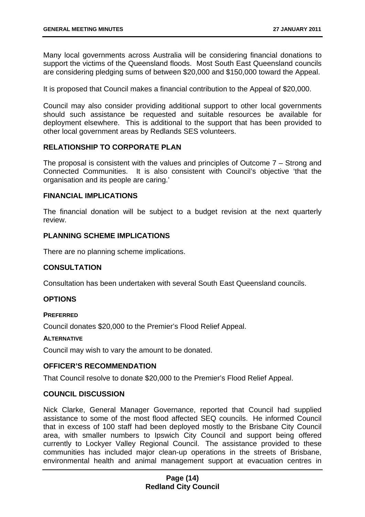Many local governments across Australia will be considering financial donations to support the victims of the Queensland floods. Most South East Queensland councils are considering pledging sums of between \$20,000 and \$150,000 toward the Appeal.

It is proposed that Council makes a financial contribution to the Appeal of \$20,000.

Council may also consider providing additional support to other local governments should such assistance be requested and suitable resources be available for deployment elsewhere. This is additional to the support that has been provided to other local government areas by Redlands SES volunteers.

#### **RELATIONSHIP TO CORPORATE PLAN**

The proposal is consistent with the values and principles of Outcome 7 – Strong and Connected Communities. It is also consistent with Council's objective 'that the organisation and its people are caring.'

#### **FINANCIAL IMPLICATIONS**

The financial donation will be subject to a budget revision at the next quarterly review.

#### **PLANNING SCHEME IMPLICATIONS**

There are no planning scheme implications.

#### **CONSULTATION**

Consultation has been undertaken with several South East Queensland councils.

#### **OPTIONS**

#### **PREFERRED**

Council donates \$20,000 to the Premier's Flood Relief Appeal.

#### **ALTERNATIVE**

Council may wish to vary the amount to be donated.

#### **OFFICER'S RECOMMENDATION**

That Council resolve to donate \$20,000 to the Premier's Flood Relief Appeal.

#### **COUNCIL DISCUSSION**

Nick Clarke, General Manager Governance, reported that Council had supplied assistance to some of the most flood affected SEQ councils. He informed Council that in excess of 100 staff had been deployed mostly to the Brisbane City Council area, with smaller numbers to Ipswich City Council and support being offered currently to Lockyer Valley Regional Council. The assistance provided to these communities has included major clean-up operations in the streets of Brisbane, environmental health and animal management support at evacuation centres in

#### **Page (14) Redland City Council**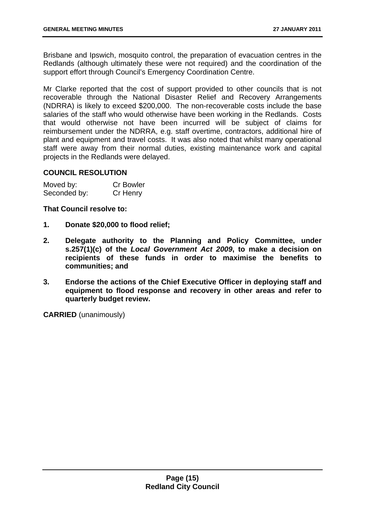Brisbane and Ipswich, mosquito control, the preparation of evacuation centres in the Redlands (although ultimately these were not required) and the coordination of the support effort through Council's Emergency Coordination Centre.

Mr Clarke reported that the cost of support provided to other councils that is not recoverable through the National Disaster Relief and Recovery Arrangements (NDRRA) is likely to exceed \$200,000. The non-recoverable costs include the base salaries of the staff who would otherwise have been working in the Redlands. Costs that would otherwise not have been incurred will be subject of claims for reimbursement under the NDRRA, e.g. staff overtime, contractors, additional hire of plant and equipment and travel costs. It was also noted that whilst many operational staff were away from their normal duties, existing maintenance work and capital projects in the Redlands were delayed.

#### **COUNCIL RESOLUTION**

| Moved by:    | <b>Cr Bowler</b> |
|--------------|------------------|
| Seconded by: | Cr Henry         |

**That Council resolve to:** 

- **1. Donate \$20,000 to flood relief;**
- **2. Delegate authority to the Planning and Policy Committee, under s.257(1)(c) of the** *Local Government Act 2009***, to make a decision on recipients of these funds in order to maximise the benefits to communities; and**
- **3. Endorse the actions of the Chief Executive Officer in deploying staff and equipment to flood response and recovery in other areas and refer to quarterly budget review.**

**CARRIED** (unanimously)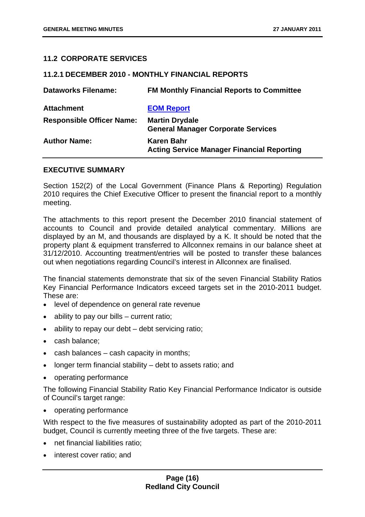#### <span id="page-16-0"></span>**11.2 CORPORATE SERVICES**

#### **11.2.1 DECEMBER 2010 - MONTHLY FINANCIAL REPORTS**

| <b>Dataworks Filename:</b>       | <b>FM Monthly Financial Reports to Committee</b>                   |
|----------------------------------|--------------------------------------------------------------------|
| <b>Attachment</b>                | <b>EOM Report</b>                                                  |
| <b>Responsible Officer Name:</b> | <b>Martin Drydale</b><br><b>General Manager Corporate Services</b> |
| <b>Author Name:</b>              | Karen Bahr<br><b>Acting Service Manager Financial Reporting</b>    |

#### **EXECUTIVE SUMMARY**

Section 152(2) of the Local Government (Finance Plans & Reporting) Regulation 2010 requires the Chief Executive Officer to present the financial report to a monthly meeting.

The attachments to this report present the December 2010 financial statement of accounts to Council and provide detailed analytical commentary. Millions are displayed by an M, and thousands are displayed by a K. It should be noted that the property plant & equipment transferred to Allconnex remains in our balance sheet at 31/12/2010. Accounting treatment/entries will be posted to transfer these balances out when negotiations regarding Council's interest in Allconnex are finalised.

The financial statements demonstrate that six of the seven Financial Stability Ratios Key Financial Performance Indicators exceed targets set in the 2010-2011 budget. These are:

- level of dependence on general rate revenue
- ability to pay our bills  $-$  current ratio;
- ability to repay our debt debt servicing ratio;
- cash balance:
- cash balances cash capacity in months;
- longer term financial stability debt to assets ratio; and
- operating performance

The following Financial Stability Ratio Key Financial Performance Indicator is outside of Council's target range:

• operating performance

With respect to the five measures of sustainability adopted as part of the 2010-2011 budget, Council is currently meeting three of the five targets. These are:

- net financial liabilities ratio;
- interest cover ratio; and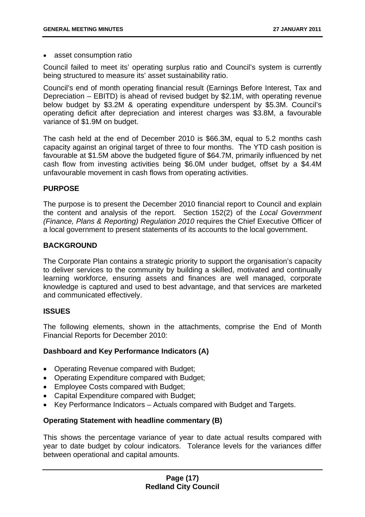#### • asset consumption ratio

Council failed to meet its' operating surplus ratio and Council's system is currently being structured to measure its' asset sustainability ratio.

Council's end of month operating financial result (Earnings Before Interest, Tax and Depreciation – EBITD) is ahead of revised budget by \$2.1M, with operating revenue below budget by \$3.2M & operating expenditure underspent by \$5.3M. Council's operating deficit after depreciation and interest charges was \$3.8M, a favourable variance of \$1.9M on budget.

The cash held at the end of December 2010 is \$66.3M, equal to 5.2 months cash capacity against an original target of three to four months. The YTD cash position is favourable at \$1.5M above the budgeted figure of \$64.7M, primarily influenced by net cash flow from investing activities being \$6.0M under budget, offset by a \$4.4M unfavourable movement in cash flows from operating activities.

#### **PURPOSE**

The purpose is to present the December 2010 financial report to Council and explain the content and analysis of the report. Section 152(2) of the *Local Government (Finance, Plans & Reporting) Regulation 2010* requires the Chief Executive Officer of a local government to present statements of its accounts to the local government.

#### **BACKGROUND**

The Corporate Plan contains a strategic priority to support the organisation's capacity to deliver services to the community by building a skilled, motivated and continually learning workforce, ensuring assets and finances are well managed, corporate knowledge is captured and used to best advantage, and that services are marketed and communicated effectively.

#### **ISSUES**

The following elements, shown in the attachments, comprise the End of Month Financial Reports for December 2010:

#### **Dashboard and Key Performance Indicators (A)**

- Operating Revenue compared with Budget;
- Operating Expenditure compared with Budget;
- Employee Costs compared with Budget;
- Capital Expenditure compared with Budget;
- Key Performance Indicators Actuals compared with Budget and Targets.

#### **Operating Statement with headline commentary (B)**

This shows the percentage variance of year to date actual results compared with year to date budget by colour indicators. Tolerance levels for the variances differ between operational and capital amounts.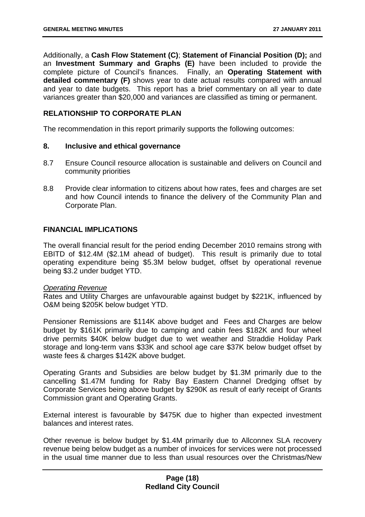Additionally, a **Cash Flow Statement (C)**; **Statement of Financial Position (D);** and an **Investment Summary and Graphs (E)** have been included to provide the complete picture of Council's finances. Finally, an **Operating Statement with detailed commentary (F)** shows year to date actual results compared with annual and year to date budgets. This report has a brief commentary on all year to date variances greater than \$20,000 and variances are classified as timing or permanent.

#### **RELATIONSHIP TO CORPORATE PLAN**

The recommendation in this report primarily supports the following outcomes:

#### **8. Inclusive and ethical governance**

- 8.7 Ensure Council resource allocation is sustainable and delivers on Council and community priorities
- 8.8 Provide clear information to citizens about how rates, fees and charges are set and how Council intends to finance the delivery of the Community Plan and Corporate Plan.

#### **FINANCIAL IMPLICATIONS**

The overall financial result for the period ending December 2010 remains strong with EBITD of \$12.4M (\$2.1M ahead of budget). This result is primarily due to total operating expenditure being \$5.3M below budget, offset by operational revenue being \$3.2 under budget YTD.

#### *Operating Revenue*

Rates and Utility Charges are unfavourable against budget by \$221K, influenced by O&M being \$205K below budget YTD.

Pensioner Remissions are \$114K above budget and Fees and Charges are below budget by \$161K primarily due to camping and cabin fees \$182K and four wheel drive permits \$40K below budget due to wet weather and Straddie Holiday Park storage and long-term vans \$33K and school age care \$37K below budget offset by waste fees & charges \$142K above budget.

Operating Grants and Subsidies are below budget by \$1.3M primarily due to the cancelling \$1.47M funding for Raby Bay Eastern Channel Dredging offset by Corporate Services being above budget by \$290K as result of early receipt of Grants Commission grant and Operating Grants.

External interest is favourable by \$475K due to higher than expected investment balances and interest rates.

Other revenue is below budget by \$1.4M primarily due to Allconnex SLA recovery revenue being below budget as a number of invoices for services were not processed in the usual time manner due to less than usual resources over the Christmas/New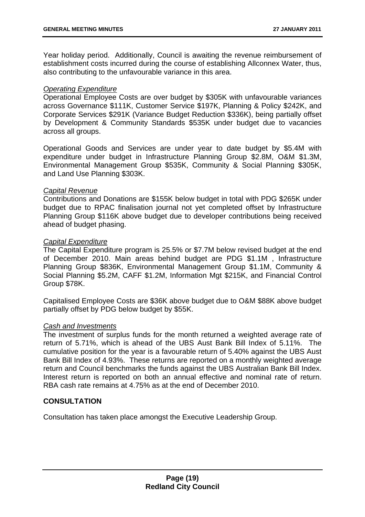Year holiday period. Additionally, Council is awaiting the revenue reimbursement of establishment costs incurred during the course of establishing Allconnex Water, thus, also contributing to the unfavourable variance in this area.

#### *Operating Expenditure*

Operational Employee Costs are over budget by \$305K with unfavourable variances across Governance \$111K, Customer Service \$197K, Planning & Policy \$242K, and Corporate Services \$291K (Variance Budget Reduction \$336K), being partially offset by Development & Community Standards \$535K under budget due to vacancies across all groups.

Operational Goods and Services are under year to date budget by \$5.4M with expenditure under budget in Infrastructure Planning Group \$2.8M, O&M \$1.3M, Environmental Management Group \$535K, Community & Social Planning \$305K, and Land Use Planning \$303K.

#### *Capital Revenue*

Contributions and Donations are \$155K below budget in total with PDG \$265K under budget due to RPAC finalisation journal not yet completed offset by Infrastructure Planning Group \$116K above budget due to developer contributions being received ahead of budget phasing.

#### *Capital Expenditure*

The Capital Expenditure program is 25.5% or \$7.7M below revised budget at the end of December 2010. Main areas behind budget are PDG \$1.1M , Infrastructure Planning Group \$836K, Environmental Management Group \$1.1M, Community & Social Planning \$5.2M, CAFF \$1.2M, Information Mgt \$215K, and Financial Control Group \$78K.

Capitalised Employee Costs are \$36K above budget due to O&M \$88K above budget partially offset by PDG below budget by \$55K.

#### *Cash and Investments*

The investment of surplus funds for the month returned a weighted average rate of return of 5.71%, which is ahead of the UBS Aust Bank Bill Index of 5.11%. The cumulative position for the year is a favourable return of 5.40% against the UBS Aust Bank Bill Index of 4.93%. These returns are reported on a monthly weighted average return and Council benchmarks the funds against the UBS Australian Bank Bill Index. Interest return is reported on both an annual effective and nominal rate of return. RBA cash rate remains at 4.75% as at the end of December 2010.

#### **CONSULTATION**

Consultation has taken place amongst the Executive Leadership Group.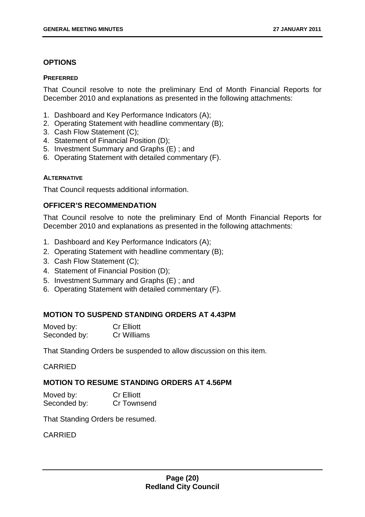#### **OPTIONS**

#### **PREFERRED**

That Council resolve to note the preliminary End of Month Financial Reports for December 2010 and explanations as presented in the following attachments:

- 1. Dashboard and Key Performance Indicators (A);
- 2. Operating Statement with headline commentary (B);
- 3. Cash Flow Statement (C);
- 4. Statement of Financial Position (D);
- 5. Investment Summary and Graphs (E) ; and
- 6. Operating Statement with detailed commentary (F).

#### **ALTERNATIVE**

That Council requests additional information.

#### **OFFICER'S RECOMMENDATION**

That Council resolve to note the preliminary End of Month Financial Reports for December 2010 and explanations as presented in the following attachments:

- 1. Dashboard and Key Performance Indicators (A);
- 2. Operating Statement with headline commentary (B);
- 3. Cash Flow Statement (C);
- 4. Statement of Financial Position (D);
- 5. Investment Summary and Graphs (E) ; and
- 6. Operating Statement with detailed commentary (F).

#### **MOTION TO SUSPEND STANDING ORDERS AT 4.43PM**

| Moved by:    | <b>Cr Elliott</b>  |
|--------------|--------------------|
| Seconded by: | <b>Cr Williams</b> |

That Standing Orders be suspended to allow discussion on this item.

CARRIED

#### **MOTION TO RESUME STANDING ORDERS AT 4.56PM**

| Moved by:    | <b>Cr Elliott</b> |
|--------------|-------------------|
| Seconded by: | Cr Townsend       |

That Standing Orders be resumed.

#### CARRIED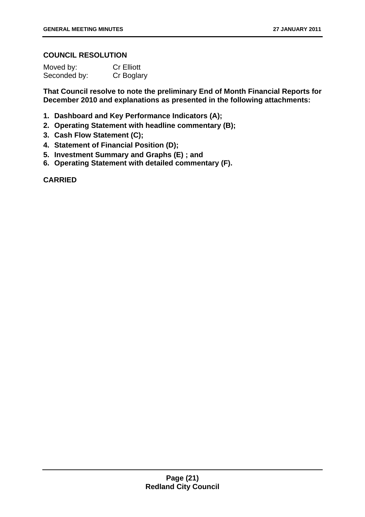#### **COUNCIL RESOLUTION**

| Moved by:    | <b>Cr Elliott</b> |
|--------------|-------------------|
| Seconded by: | Cr Boglary        |

**That Council resolve to note the preliminary End of Month Financial Reports for December 2010 and explanations as presented in the following attachments:** 

- **1. Dashboard and Key Performance Indicators (A);**
- **2. Operating Statement with headline commentary (B);**
- **3. Cash Flow Statement (C);**
- **4. Statement of Financial Position (D);**
- **5. Investment Summary and Graphs (E) ; and**
- **6. Operating Statement with detailed commentary (F).**

**CARRIED**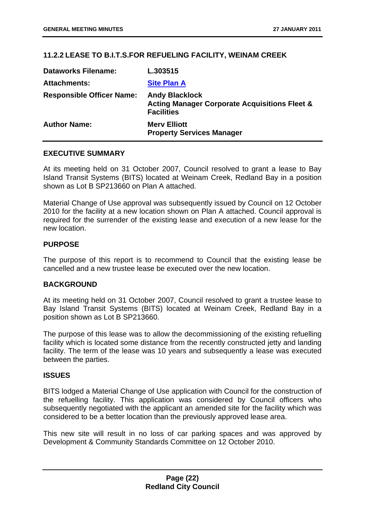#### <span id="page-22-0"></span>**11.2.2 LEASE TO B.I.T.S.FOR REFUELING FACILITY, WEINAM CREEK**

| <b>Dataworks Filename:</b>       | L.303515                                                                                               |
|----------------------------------|--------------------------------------------------------------------------------------------------------|
| <b>Attachments:</b>              | <b>Site Plan A</b>                                                                                     |
| <b>Responsible Officer Name:</b> | <b>Andy Blacklock</b><br><b>Acting Manager Corporate Acquisitions Fleet &amp;</b><br><b>Facilities</b> |
| <b>Author Name:</b>              | <b>Mery Elliott</b><br><b>Property Services Manager</b>                                                |

#### **EXECUTIVE SUMMARY**

At its meeting held on 31 October 2007, Council resolved to grant a lease to Bay Island Transit Systems (BITS) located at Weinam Creek, Redland Bay in a position shown as Lot B SP213660 on Plan A attached.

Material Change of Use approval was subsequently issued by Council on 12 October 2010 for the facility at a new location shown on Plan A attached. Council approval is required for the surrender of the existing lease and execution of a new lease for the new location.

#### **PURPOSE**

The purpose of this report is to recommend to Council that the existing lease be cancelled and a new trustee lease be executed over the new location.

#### **BACKGROUND**

At its meeting held on 31 October 2007, Council resolved to grant a trustee lease to Bay Island Transit Systems (BITS) located at Weinam Creek, Redland Bay in a position shown as Lot B SP213660.

The purpose of this lease was to allow the decommissioning of the existing refuelling facility which is located some distance from the recently constructed jetty and landing facility. The term of the lease was 10 years and subsequently a lease was executed between the parties.

#### **ISSUES**

BITS lodged a Material Change of Use application with Council for the construction of the refuelling facility. This application was considered by Council officers who subsequently negotiated with the applicant an amended site for the facility which was considered to be a better location than the previously approved lease area.

This new site will result in no loss of car parking spaces and was approved by Development & Community Standards Committee on 12 October 2010.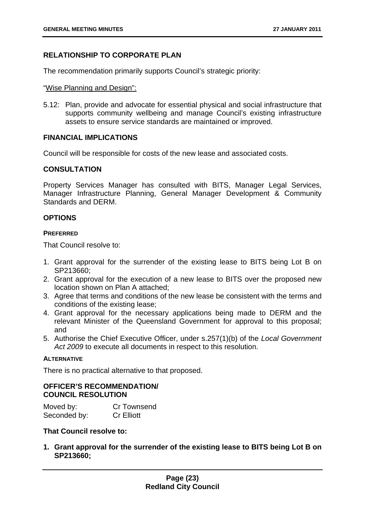#### **RELATIONSHIP TO CORPORATE PLAN**

The recommendation primarily supports Council's strategic priority:

#### "Wise Planning and Design":

5.12: Plan, provide and advocate for essential physical and social infrastructure that supports community wellbeing and manage Council's existing infrastructure assets to ensure service standards are maintained or improved.

#### **FINANCIAL IMPLICATIONS**

Council will be responsible for costs of the new lease and associated costs.

#### **CONSULTATION**

Property Services Manager has consulted with BITS, Manager Legal Services, Manager Infrastructure Planning, General Manager Development & Community Standards and DERM.

#### **OPTIONS**

#### **PREFERRED**

That Council resolve to:

- 1. Grant approval for the surrender of the existing lease to BITS being Lot B on SP213660;
- 2. Grant approval for the execution of a new lease to BITS over the proposed new location shown on Plan A attached;
- 3. Agree that terms and conditions of the new lease be consistent with the terms and conditions of the existing lease;
- 4. Grant approval for the necessary applications being made to DERM and the relevant Minister of the Queensland Government for approval to this proposal; and
- 5. Authorise the Chief Executive Officer, under s.257(1)(b) of the *Local Government Act 2009* to execute all documents in respect to this resolution.

#### **ALTERNATIVE**

There is no practical alternative to that proposed.

#### **OFFICER'S RECOMMENDATION/ COUNCIL RESOLUTION**

| Moved by:    | <b>Cr Townsend</b> |
|--------------|--------------------|
| Seconded by: | <b>Cr Elliott</b>  |

#### **That Council resolve to:**

**1. Grant approval for the surrender of the existing lease to BITS being Lot B on SP213660;**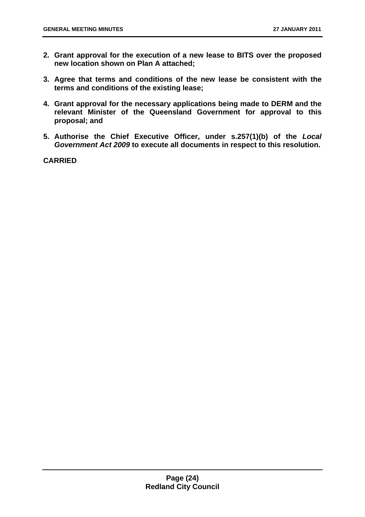- **2. Grant approval for the execution of a new lease to BITS over the proposed new location shown on Plan A attached;**
- **3. Agree that terms and conditions of the new lease be consistent with the terms and conditions of the existing lease;**
- **4. Grant approval for the necessary applications being made to DERM and the relevant Minister of the Queensland Government for approval to this proposal; and**
- **5. Authorise the Chief Executive Officer, under s.257(1)(b) of the** *Local Government Act 2009* **to execute all documents in respect to this resolution.**

**CARRIED**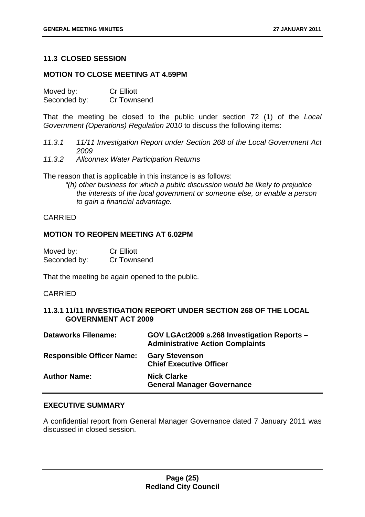#### <span id="page-25-0"></span>**11.3 CLOSED SESSION**

#### **MOTION TO CLOSE MEETING AT 4.59PM**

Moved by: Cr Elliott Seconded by: Cr Townsend

That the meeting be closed to the public under section 72 (1) of the *Local Government (Operations) Regulation 2010* to discuss the following items:

- *11.3.1 11/11 Investigation Report under Section 268 of the Local Government Act 2009*
- *11.3.2 Allconnex Water Participation Returns*

The reason that is applicable in this instance is as follows:

*"(h) other business for which a public discussion would be likely to prejudice the interests of the local government or someone else, or enable a person to gain a financial advantage.*

#### CARRIED

#### **MOTION TO REOPEN MEETING AT 6.02PM**

| Moved by:    | <b>Cr Elliott</b> |
|--------------|-------------------|
| Seconded by: | Cr Townsend       |

That the meeting be again opened to the public.

#### CARRIED

#### **11.3.1 11/11 INVESTIGATION REPORT UNDER SECTION 268 OF THE LOCAL GOVERNMENT ACT 2009**

| <b>Dataworks Filename:</b>       | GOV LGAct2009 s.268 Investigation Reports -<br><b>Administrative Action Complaints</b> |
|----------------------------------|----------------------------------------------------------------------------------------|
| <b>Responsible Officer Name:</b> | <b>Gary Stevenson</b><br><b>Chief Executive Officer</b>                                |
| <b>Author Name:</b>              | <b>Nick Clarke</b><br><b>General Manager Governance</b>                                |

#### **EXECUTIVE SUMMARY**

A confidential report from General Manager Governance dated 7 January 2011 was discussed in closed session.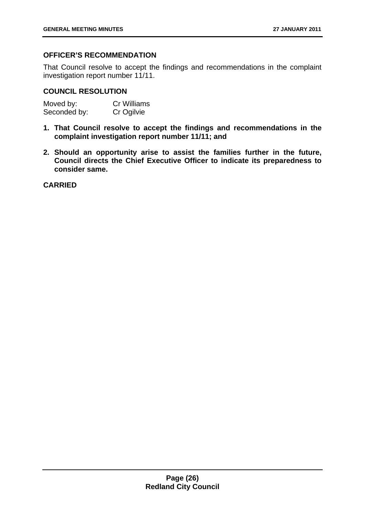#### **OFFICER'S RECOMMENDATION**

That Council resolve to accept the findings and recommendations in the complaint investigation report number 11/11.

#### **COUNCIL RESOLUTION**

| Moved by:    | <b>Cr Williams</b> |
|--------------|--------------------|
| Seconded by: | Cr Ogilvie         |

- **1. That Council resolve to accept the findings and recommendations in the complaint investigation report number 11/11; and**
- **2. Should an opportunity arise to assist the families further in the future, Council directs the Chief Executive Officer to indicate its preparedness to consider same.**

**CARRIED**